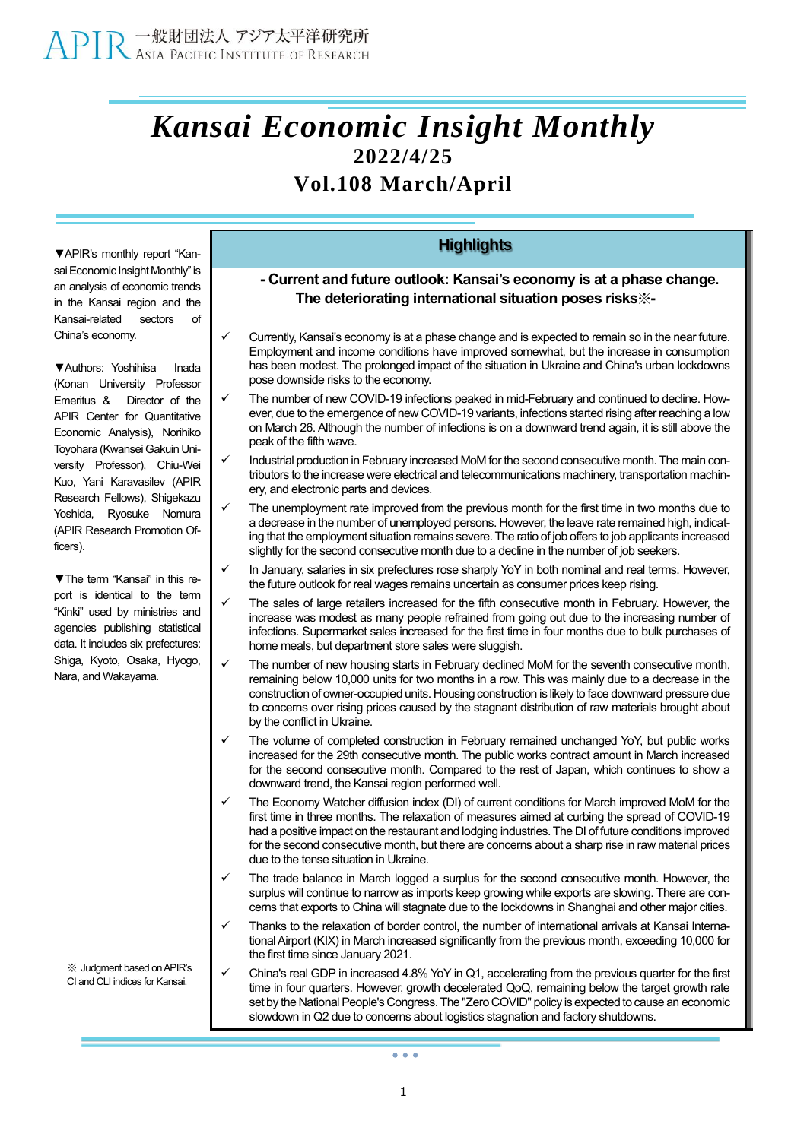## *Kansai Economic Insight Monthly* **2022/4/25 Vol.108 March/April**

**▼**APIR's monthly report "Kansai Economic Insight Monthly" is an analysis of economic trends in the Kansai region and the Kansai-related sectors of China's economy.

**▼**Authors: Yoshihisa Inada (Konan University Professor Emeritus & Director of the APIR Center for Quantitative Economic Analysis), Norihiko Toyohara (Kwansei Gakuin University Professor), Chiu-Wei Kuo, Yani Karavasilev (APIR Research Fellows), Shigekazu Yoshida, Ryosuke Nomura (APIR Research Promotion Officers).

**▼**The term "Kansai" in this report is identical to the term "Kinki" used by ministries and agencies publishing statistical data. It includes six prefectures: Shiga, Kyoto, Osaka, Hyogo, Nara, and Wakayama.

※ Judgment based onAPIR's CI and CLI indices for Kansai.

### **Highlights**

### **- Current and future outlook: Kansai's economy is at a phase change. The deteriorating international situation poses risks**※**-**

- ✓ Currently, Kansai's economy is at a phase change and is expected to remain so in the near future. Employment and income conditions have improved somewhat, but the increase in consumption has been modest. The prolonged impact of the situation in Ukraine and China's urban lockdowns pose downside risks to the economy.
- The number of new COVID-19 infections peaked in mid-February and continued to decline. However, due to the emergence of new COVID-19 variants, infections started rising after reaching a low on March 26. Although the number of infections is on a downward trend again, it is still above the peak of the fifth wave.
- Industrial production in February increased MoM for the second consecutive month. The main contributors to the increase were electrical and telecommunications machinery, transportation machinery, and electronic parts and devices.
- The unemployment rate improved from the previous month for the first time in two months due to a decrease in the number of unemployed persons. However, the leave rate remained high, indicating that the employment situation remains severe. The ratio of job offers to job applicants increased slightly for the second consecutive month due to a decline in the number of job seekers.
- In January, salaries in six prefectures rose sharply YoY in both nominal and real terms. However, the future outlook for real wages remains uncertain as consumer prices keep rising.
- The sales of large retailers increased for the fifth consecutive month in February. However, the increase was modest as many people refrained from going out due to the increasing number of infections. Supermarket sales increased for the first time in four months due to bulk purchases of home meals, but department store sales were sluggish.
- The number of new housing starts in February declined MoM for the seventh consecutive month, remaining below 10,000 units for two months in a row. This was mainly due to a decrease in the construction of owner-occupied units. Housing construction is likely to face downward pressure due to concerns over rising prices caused by the stagnant distribution of raw materials brought about by the conflict in Ukraine.
- The volume of completed construction in February remained unchanged YoY, but public works increased for the 29th consecutive month. The public works contract amount in March increased for the second consecutive month. Compared to the rest of Japan, which continues to show a downward trend, the Kansai region performed well.
- The Economy Watcher diffusion index (DI) of current conditions for March improved MoM for the first time in three months. The relaxation of measures aimed at curbing the spread of COVID-19 had a positive impact on the restaurant and lodging industries. The DI of future conditions improved for the second consecutive month, but there are concerns about a sharp rise in raw material prices due to the tense situation in Ukraine.
- The trade balance in March logged a surplus for the second consecutive month. However, the surplus will continue to narrow as imports keep growing while exports are slowing. There are concerns that exports to China will stagnate due to the lockdowns in Shanghai and other major cities.
- Thanks to the relaxation of border control, the number of international arrivals at Kansai International Airport (KIX) in March increased significantly from the previous month, exceeding 10,000 for the first time since January 2021.
- China's real GDP in increased 4.8% YoY in Q1, accelerating from the previous quarter for the first time in four quarters. However, growth decelerated QoQ, remaining below the target growth rate set by the National People's Congress. The "Zero COVID" policy is expected to cause an economic slowdown in Q2 due to concerns about logistics stagnation and factory shutdowns.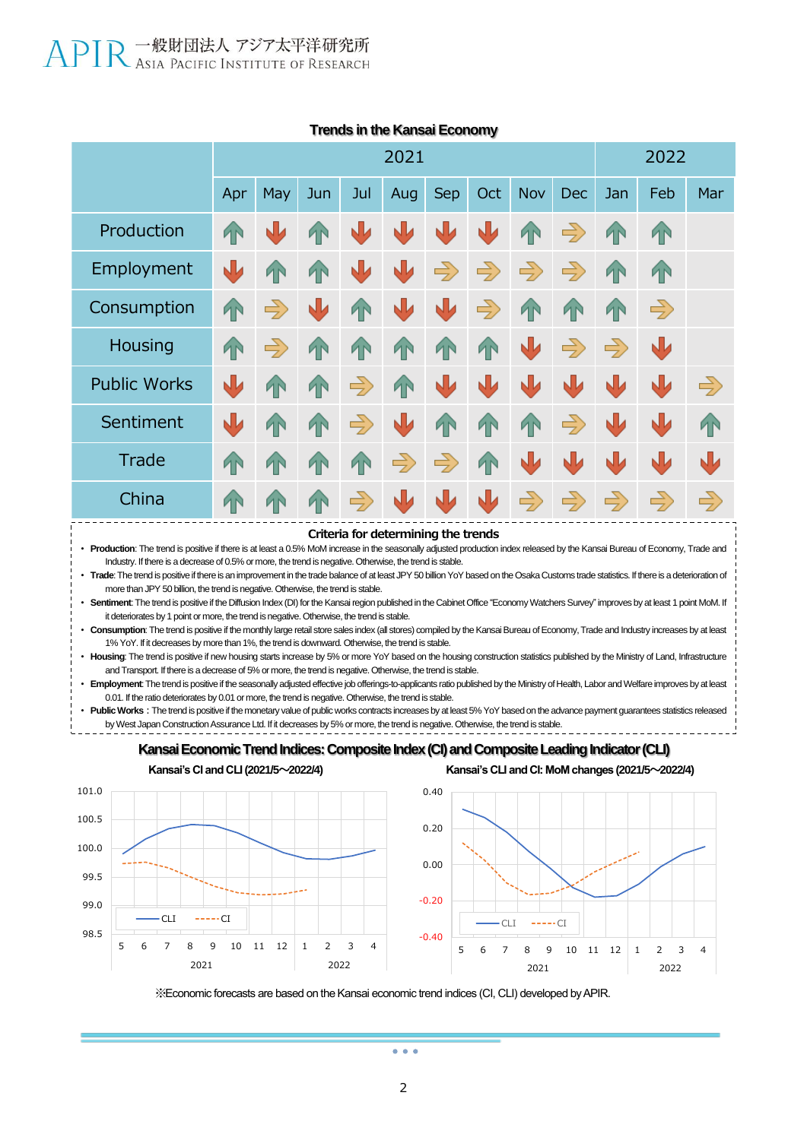|                     | 2021      |               |            |               |               |               |               |               |               | 2022          |               |               |  |
|---------------------|-----------|---------------|------------|---------------|---------------|---------------|---------------|---------------|---------------|---------------|---------------|---------------|--|
|                     | Apr       | May           | Jun        | Jul           | Aug           | <b>Sep</b>    | Oct           | Nov           | Dec           | Jan           | Feb           | Mar           |  |
| Production          | <b>TN</b> | N             | <b>1N</b>  | 业             | W             | 业             | Ŵ             | T             | $\Rightarrow$ | <b>AN</b>     | <b>TN</b>     |               |  |
| Employment          | 业         | <b>AN</b>     | <b>1</b> N | ↓             | り             | $\Rightarrow$ | $\Rightarrow$ | $\Rightarrow$ | $\Rightarrow$ | <b>TN</b>     | <b>TN</b>     |               |  |
| Consumption         | T         | $\Rightarrow$ | すい         | <b>AN</b>     | N             | すい            | $\Rightarrow$ | <b>TN</b>     | <b>TN</b>     | <b>AN</b>     | $\Rightarrow$ |               |  |
| Housing             | <b>TN</b> | $\Rightarrow$ | <b>TN</b>  | <b>AN</b>     | <b>TN</b>     | 1             | 4             | ↓             | $\Rightarrow$ | $\Rightarrow$ | N             |               |  |
| <b>Public Works</b> | J         | <b>AN</b>     | <b>TN</b>  | $\Rightarrow$ | <b>TN</b>     | 业             | N             | J             | J             | N             | N             | $\Rightarrow$ |  |
| Sentiment           | 业         | <b>AN</b>     | <b>TN</b>  | $\Rightarrow$ | N             | 1             | T             | <b>TN</b>     | $\Rightarrow$ | N             | N             | 1             |  |
| Trade               | <b>TN</b> | <b>AN</b>     | <b>TN</b>  | <b>AN</b>     | $\Rightarrow$ | $\Rightarrow$ | 4             | J             | ᇻ             | N             | NIJ           | $\sqrt{2}$    |  |
| China               | <b>TN</b> | <b>IN</b>     | T          | $\Rightarrow$ | 山             | ₩             | N             | $\Rightarrow$ | $\Rightarrow$ | $\Rightarrow$ | $\Rightarrow$ | $\Rightarrow$ |  |

#### **Trends in the Kansai Economy**

**Criteria for determining the trends** • Production: The trend is positive if there is at least a 0.5% MoM increase in the seasonally adjusted production index released by the Kansai Bureau of Economy, Trade and Industry. If there is a decrease of 0.5% or more, the trend is negative. Otherwise, the trend is stable. • **Trade**: The trend is positive if there is an improvement in the trade balance of at least JPY 50 billion YoY based on the Osaka Customs trade statistics. If there is a deterioration of more than JPY 50 billion, the trend is negative. Otherwise, the trend is stable. • **Sentiment**: The trend is positive if the Diffusion Index (DI) for the Kansai region published in the Cabinet Office "Economy Watchers Survey" improves by at least 1 point MoM. If it deteriorates by 1 point or more, the trend is negative. Otherwise, the trend is stable. • **Consumption**: The trend is positive if the monthly large retail store sales index (all stores) compiled by the Kansai Bureau of Economy, Trade and Industry increases by at least 1% YoY. If it decreases by more than 1%, the trend is downward. Otherwise, the trend is stable. • **Housing**: The trend is positive if new housing starts increase by 5% or more YoY based on the housing construction statistics published by the Ministry of Land, Infrastructure and Transport. If there is a decrease of 5% or more, the trend is negative. Otherwise, the trend is stable.

• **Employment**: The trend is positive if the seasonally adjusted effective job offerings-to-applicants ratio published by the Ministry of Health, Labor and Welfare improves by at least 0.01. If the ratio deteriorates by 0.01 or more, the trend is negative. Otherwise, the trend is stable.

Public Works: The trend is positive if the monetary value of public works contracts increases by at least 5% YoY based on the advance payment guarantees statistics released by West Japan Construction Assurance Ltd. If it decreases by 5% or more, the trend is negative. Otherwise, the trend is stable.

### Kansai Economic Trend Indices: Composite Index (CI) and Composite Leading Indicator (CLI)



**Kansai's CI and CLI(2021/5~2022/4) Kansai's CLI and CI: MoM changes (2021/5~2022/4)**



※Economic forecasts are based on the Kansai economic trend indices (CI, CLI) developed by APIR.

 $\sim$   $\sim$   $\sim$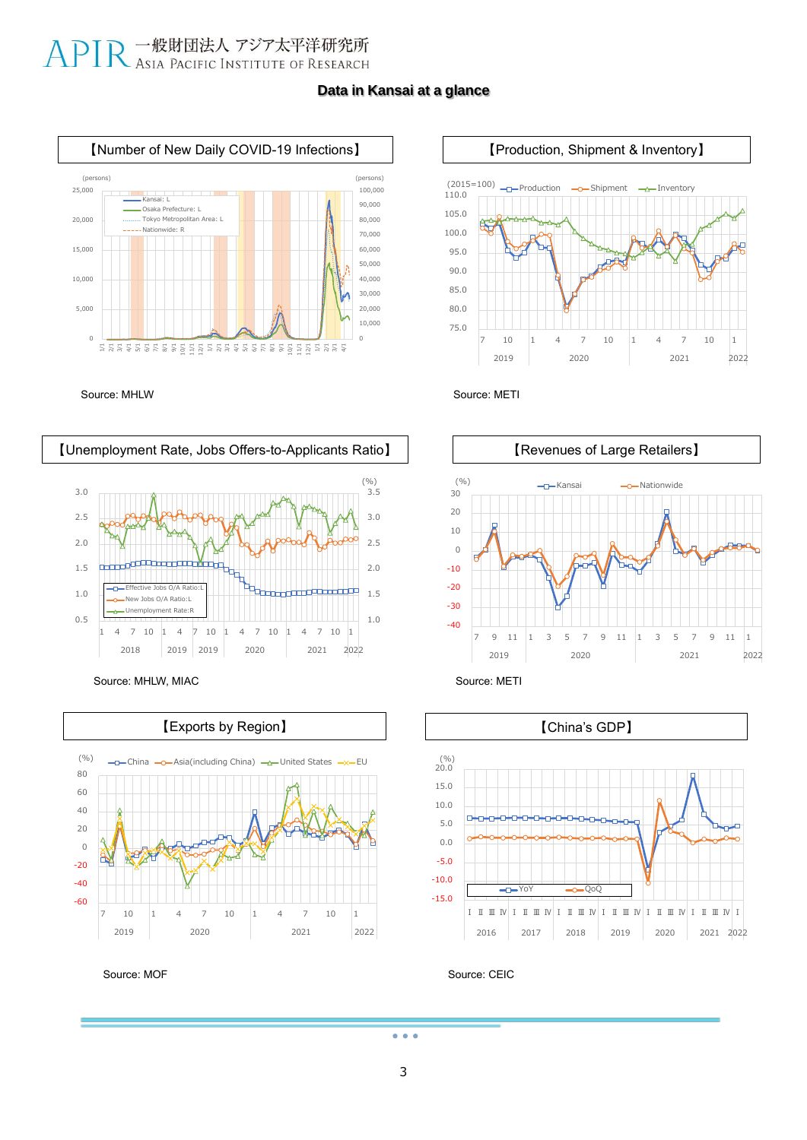# APIR 一般財団法人 アジア太平洋研究所

### **Data in Kansai at a glance**







Source: MHLW, MIAC Source: METI













Source: CEIC

 $\bullet$   $\bullet$   $\bullet$